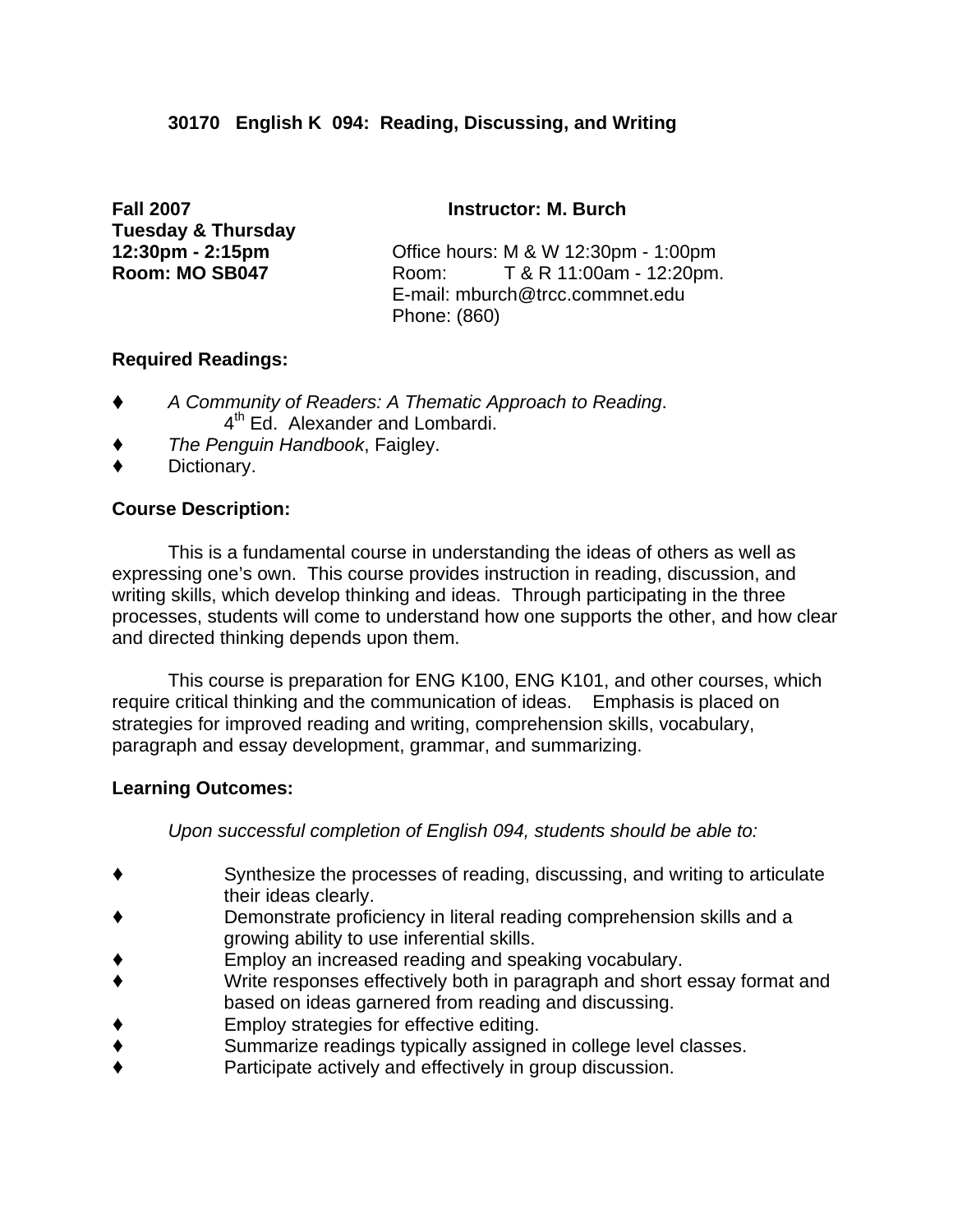# **30170 English K 094: Reading, Discussing, and Writing**

**Fall 2007 Instructor: M. Burch Tuesday & Thursday** 

**12:30pm - 2:15pm** Office hours: M & W 12:30pm - 1:00pm **Room: MO SB047** Room: T & R 11:00am - 12:20pm. E-mail: mburch@trcc.commnet.edu Phone: (860)

#### **Required Readings:**

- ' *A Community of Readers: A Thematic Approach to Reading*. 4<sup>th</sup> Ed. Alexander and Lombardi.
- ' *The Penguin Handbook*, Faigley.
- Dictionary.

## **Course Description:**

This is a fundamental course in understanding the ideas of others as well as expressing one's own. This course provides instruction in reading, discussion, and writing skills, which develop thinking and ideas. Through participating in the three processes, students will come to understand how one supports the other, and how clear and directed thinking depends upon them.

 This course is preparation for ENG K100, ENG K101, and other courses, which require critical thinking and the communication of ideas. Emphasis is placed on strategies for improved reading and writing, comprehension skills, vocabulary, paragraph and essay development, grammar, and summarizing.

## **Learning Outcomes:**

*Upon successful completion of English 094, students should be able to:*

- ' Synthesize the processes of reading, discussing, and writing to articulate their ideas clearly.
- Demonstrate proficiency in literal reading comprehension skills and a growing ability to use inferential skills.
- ' Employ an increased reading and speaking vocabulary.
- Write responses effectively both in paragraph and short essay format and based on ideas garnered from reading and discussing.
- ' Employ strategies for effective editing.
- Summarize readings typically assigned in college level classes.
- Participate actively and effectively in group discussion.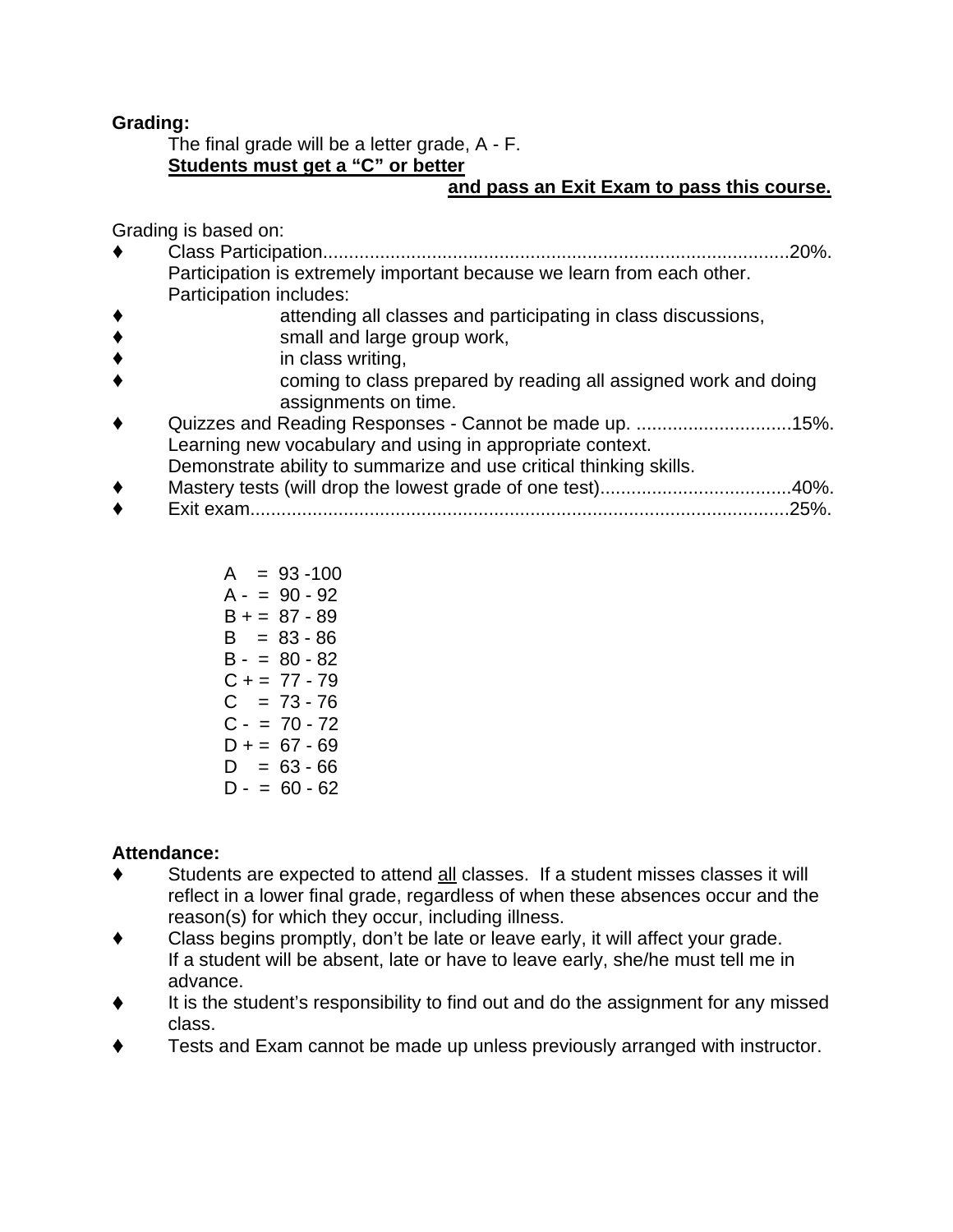# **Grading:**

 The final grade will be a letter grade, A - F. **Students must get a "C" or better**

# **and pass an Exit Exam to pass this course.**

Grading is based on:

- ' Class Participation..........................................................................................20%. Participation is extremely important because we learn from each other. Participation includes:
- attending all classes and participating in class discussions,
- ◆ small and large group work,<br>◆ in class writing,
- in class writing,
- ' coming to class prepared by reading all assigned work and doing assignments on time.
- Quizzes and Reading Responses Cannot be made up. .............................15%. Learning new vocabulary and using in appropriate context. Demonstrate ability to summarize and use critical thinking skills.
- ' Mastery tests (will drop the lowest grade of one test).....................................40%.
- ' Exit exam........................................................................................................25%.

| $= 93 - 100$<br>A |
|-------------------|
| $A - 90 - 92$     |
| B + = 87 - 89     |
| $= 83 - 86$<br>B. |
| $B - = 80 - 82$   |
| $C_+ = 77 - 79$   |
| $C = 73 - 76$     |
| $C - 70 - 72$     |
| D + = 67 - 69     |
| $= 63 - 66$<br>D. |
| D - = 60 - 62     |

# **Attendance:**

- ' Students are expected to attend all classes. If a student misses classes it will reflect in a lower final grade, regardless of when these absences occur and the reason(s) for which they occur, including illness.
- Class begins promptly, don't be late or leave early, it will affect your grade. If a student will be absent, late or have to leave early, she/he must tell me in advance.
- It is the student's responsibility to find out and do the assignment for any missed class.
- ' Tests and Exam cannot be made up unless previously arranged with instructor.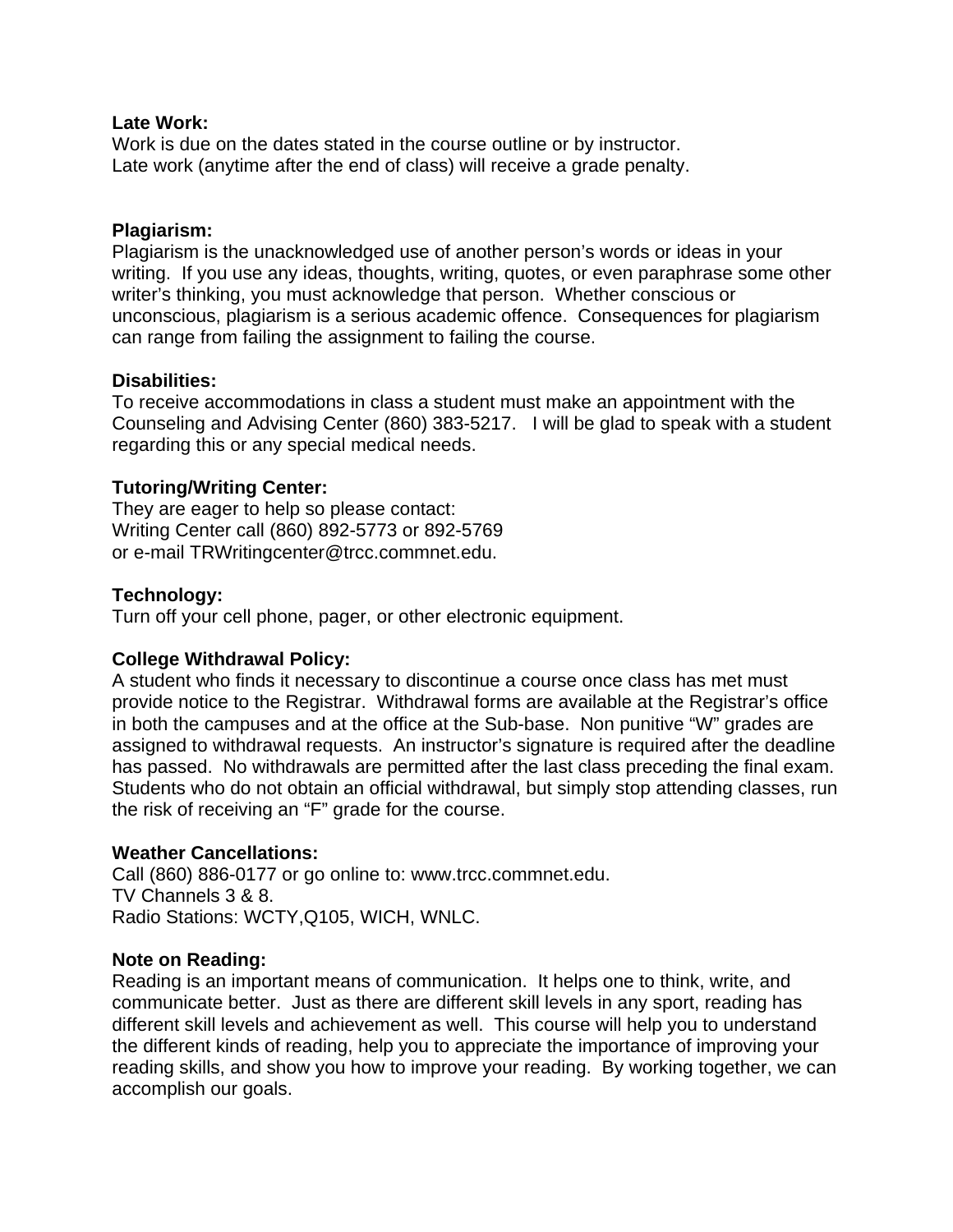#### **Late Work:**

Work is due on the dates stated in the course outline or by instructor. Late work (anytime after the end of class) will receive a grade penalty.

#### **Plagiarism:**

Plagiarism is the unacknowledged use of another person's words or ideas in your writing. If you use any ideas, thoughts, writing, quotes, or even paraphrase some other writer's thinking, you must acknowledge that person. Whether conscious or unconscious, plagiarism is a serious academic offence. Consequences for plagiarism can range from failing the assignment to failing the course.

#### **Disabilities:**

To receive accommodations in class a student must make an appointment with the Counseling and Advising Center (860) 383-5217. I will be glad to speak with a student regarding this or any special medical needs.

#### **Tutoring/Writing Center:**

They are eager to help so please contact: Writing Center call (860) 892-5773 or 892-5769 or e-mail TRWritingcenter@trcc.commnet.edu.

#### **Technology:**

Turn off your cell phone, pager, or other electronic equipment.

#### **College Withdrawal Policy:**

A student who finds it necessary to discontinue a course once class has met must provide notice to the Registrar. Withdrawal forms are available at the Registrar's office in both the campuses and at the office at the Sub-base. Non punitive "W" grades are assigned to withdrawal requests. An instructor's signature is required after the deadline has passed. No withdrawals are permitted after the last class preceding the final exam. Students who do not obtain an official withdrawal, but simply stop attending classes, run the risk of receiving an "F" grade for the course.

#### **Weather Cancellations:**

Call (860) 886-0177 or go online to: www.trcc.commnet.edu. TV Channels 3 & 8. Radio Stations: WCTY,Q105, WICH, WNLC.

#### **Note on Reading:**

Reading is an important means of communication. It helps one to think, write, and communicate better. Just as there are different skill levels in any sport, reading has different skill levels and achievement as well. This course will help you to understand the different kinds of reading, help you to appreciate the importance of improving your reading skills, and show you how to improve your reading. By working together, we can accomplish our goals.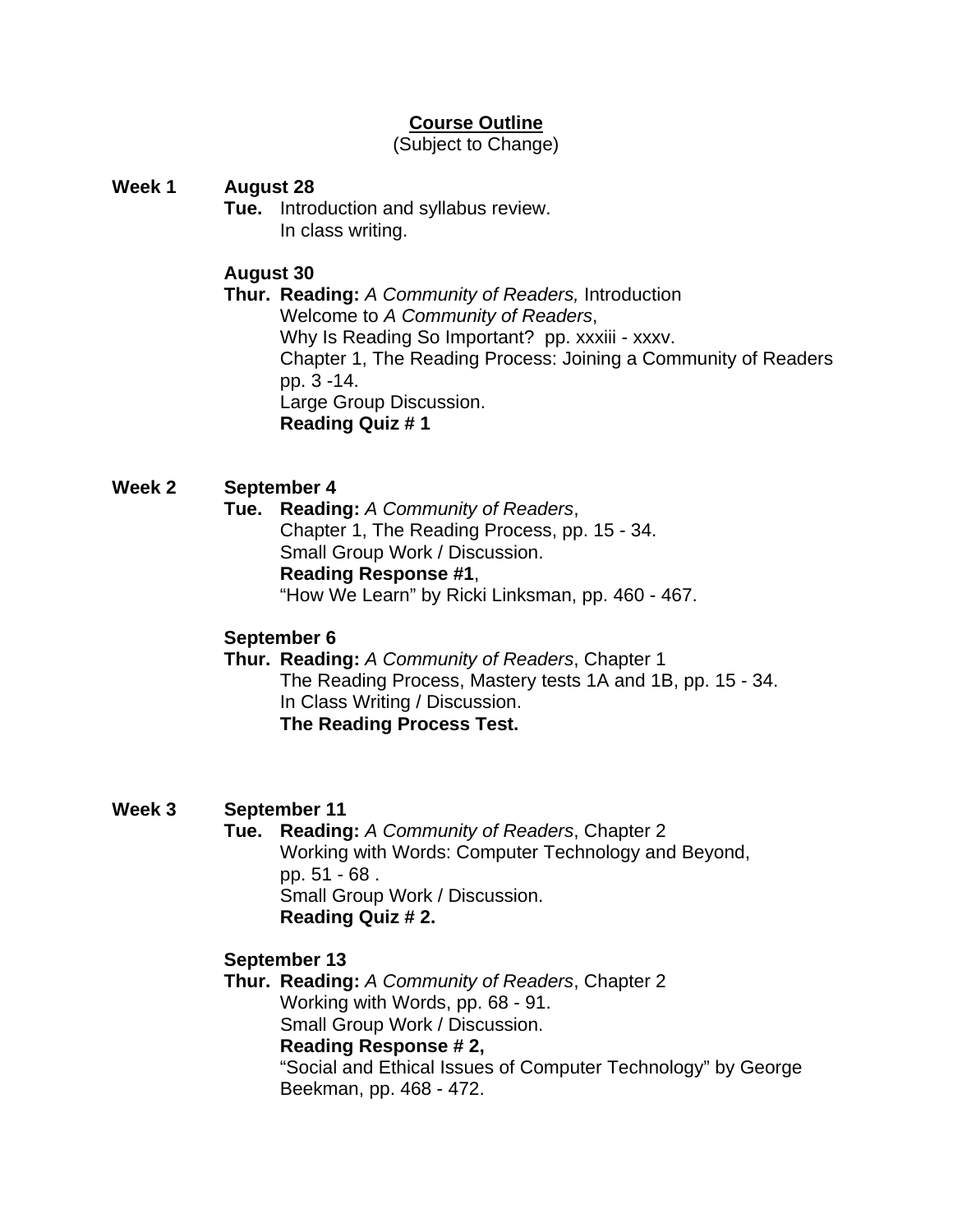# **Course Outline**

(Subject to Change)

# **Week 1 August 28**

 **Tue.** Introduction and syllabus review. In class writing.

# **August 30**

 **Thur. Reading:** *A Community of Readers,* Introduction Welcome to *A Community of Readers*, Why Is Reading So Important? pp. xxxiii - xxxv. Chapter 1, The Reading Process: Joining a Community of Readers pp. 3 -14. Large Group Discussion. **Reading Quiz # 1** 

# **Week 2 September 4**

 **Tue. Reading:** *A Community of Readers*, Chapter 1, The Reading Process, pp. 15 - 34. Small Group Work / Discussion. **Reading Response #1**, "How We Learn" by Ricki Linksman, pp. 460 - 467.

## **September 6**

 **Thur. Reading:** *A Community of Readers*, Chapter 1 The Reading Process, Mastery tests 1A and 1B, pp. 15 - 34. In Class Writing / Discussion. **The Reading Process Test.**

## **Week 3 September 11**

 **Tue. Reading:** *A Community of Readers*, Chapter 2 Working with Words: Computer Technology and Beyond, pp. 51 - 68 . Small Group Work / Discussion. **Reading Quiz # 2.**

## **September 13**

 **Thur. Reading:** *A Community of Readers*, Chapter 2 Working with Words, pp. 68 - 91. Small Group Work / Discussion. **Reading Response # 2,**  "Social and Ethical Issues of Computer Technology" by George Beekman, pp. 468 - 472.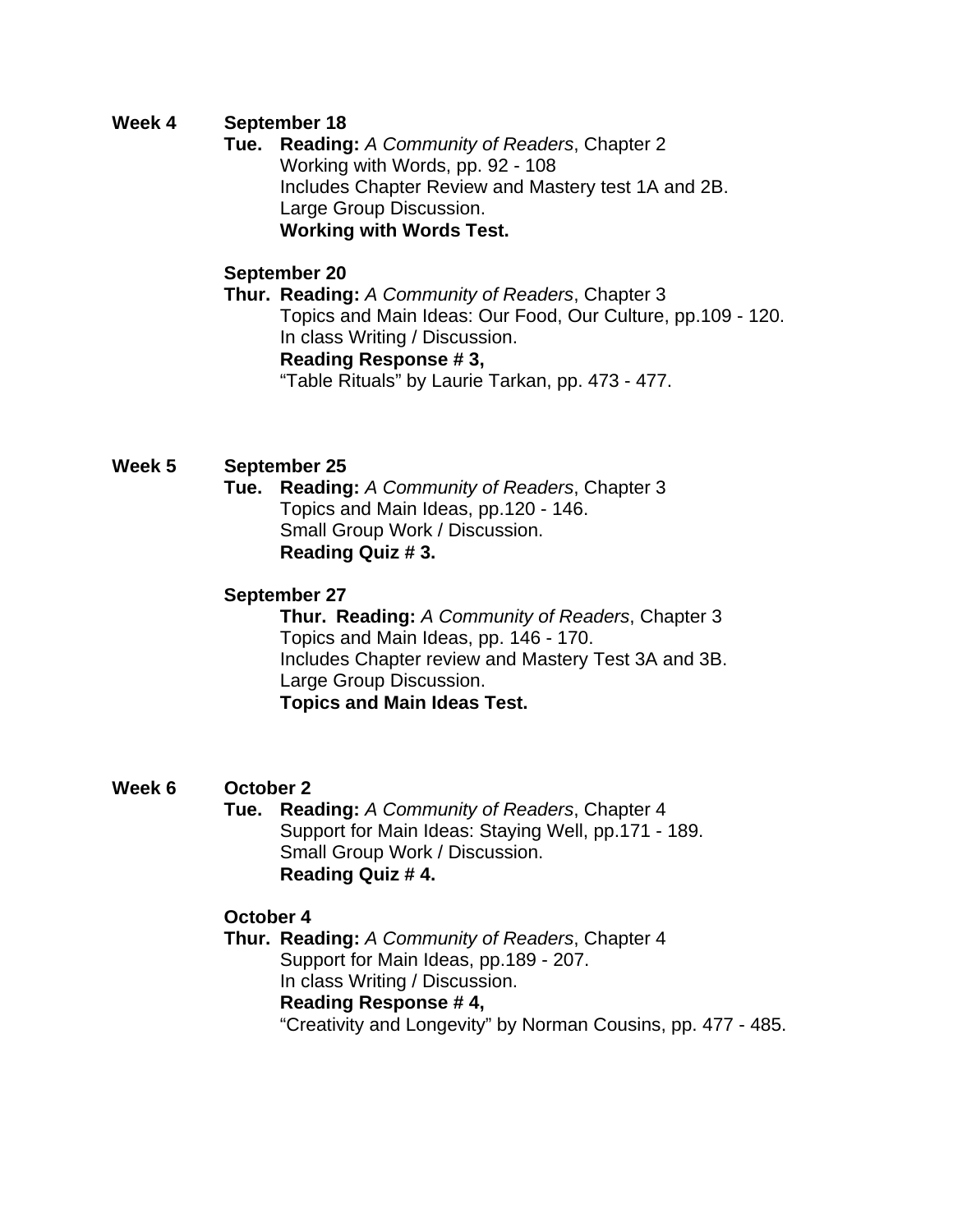# **Week 4 September 18**

 **Tue. Reading:** *A Community of Readers*, Chapter 2 Working with Words, pp. 92 - 108 Includes Chapter Review and Mastery test 1A and 2B. Large Group Discussion. **Working with Words Test.** 

# **September 20**

 **Thur. Reading:** *A Community of Readers*, Chapter 3 Topics and Main Ideas: Our Food, Our Culture, pp.109 - 120. In class Writing / Discussion. **Reading Response # 3,** 

"Table Rituals" by Laurie Tarkan, pp. 473 - 477.

# **Week 5 September 25**

 **Tue. Reading:** *A Community of Readers*, Chapter 3 Topics and Main Ideas, pp.120 - 146. Small Group Work / Discussion. **Reading Quiz # 3.** 

# **September 27**

 **Thur. Reading:** *A Community of Readers*, Chapter 3 Topics and Main Ideas, pp. 146 - 170. Includes Chapter review and Mastery Test 3A and 3B. Large Group Discussion. **Topics and Main Ideas Test.** 

## **Week 6 October 2**

 **Tue. Reading:** *A Community of Readers*, Chapter 4 Support for Main Ideas: Staying Well, pp.171 - 189. Small Group Work / Discussion. **Reading Quiz # 4.**

## **October 4**

 **Thur. Reading:** *A Community of Readers*, Chapter 4 Support for Main Ideas, pp.189 - 207. In class Writing / Discussion. **Reading Response # 4,** "Creativity and Longevity" by Norman Cousins, pp. 477 - 485.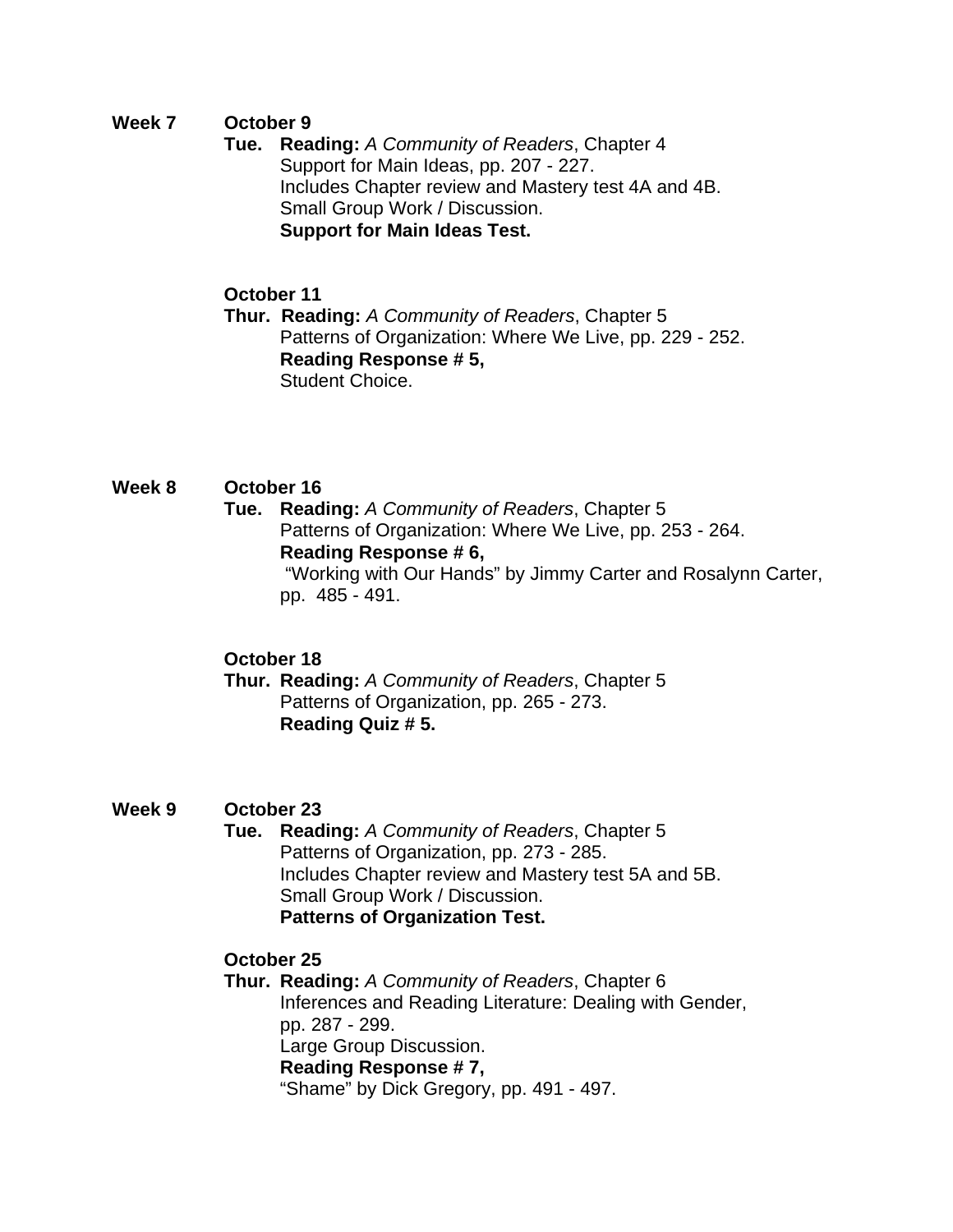# **Week 7 October 9**

 **Tue. Reading:** *A Community of Readers*, Chapter 4 Support for Main Ideas, pp. 207 - 227. Includes Chapter review and Mastery test 4A and 4B. Small Group Work / Discussion. **Support for Main Ideas Test.** 

# **October 11**

 **Thur. Reading:** *A Community of Readers*, Chapter 5 Patterns of Organization: Where We Live, pp. 229 - 252. **Reading Response # 5,** Student Choice.

# **Week 8 October 16**

 **Tue. Reading:** *A Community of Readers*, Chapter 5 Patterns of Organization: Where We Live, pp. 253 - 264. **Reading Response # 6,**  "Working with Our Hands" by Jimmy Carter and Rosalynn Carter,

pp. 485 - 491.

# **October 18**

 **Thur. Reading:** *A Community of Readers*, Chapter 5 Patterns of Organization, pp. 265 - 273. **Reading Quiz # 5.** 

## **Week 9 October 23**

 **Tue. Reading:** *A Community of Readers*, Chapter 5 Patterns of Organization, pp. 273 - 285. Includes Chapter review and Mastery test 5A and 5B. Small Group Work / Discussion. **Patterns of Organization Test.** 

## **October 25**

 **Thur. Reading:** *A Community of Readers*, Chapter 6 Inferences and Reading Literature: Dealing with Gender, pp. 287 - 299. Large Group Discussion. **Reading Response # 7,** "Shame" by Dick Gregory, pp. 491 - 497.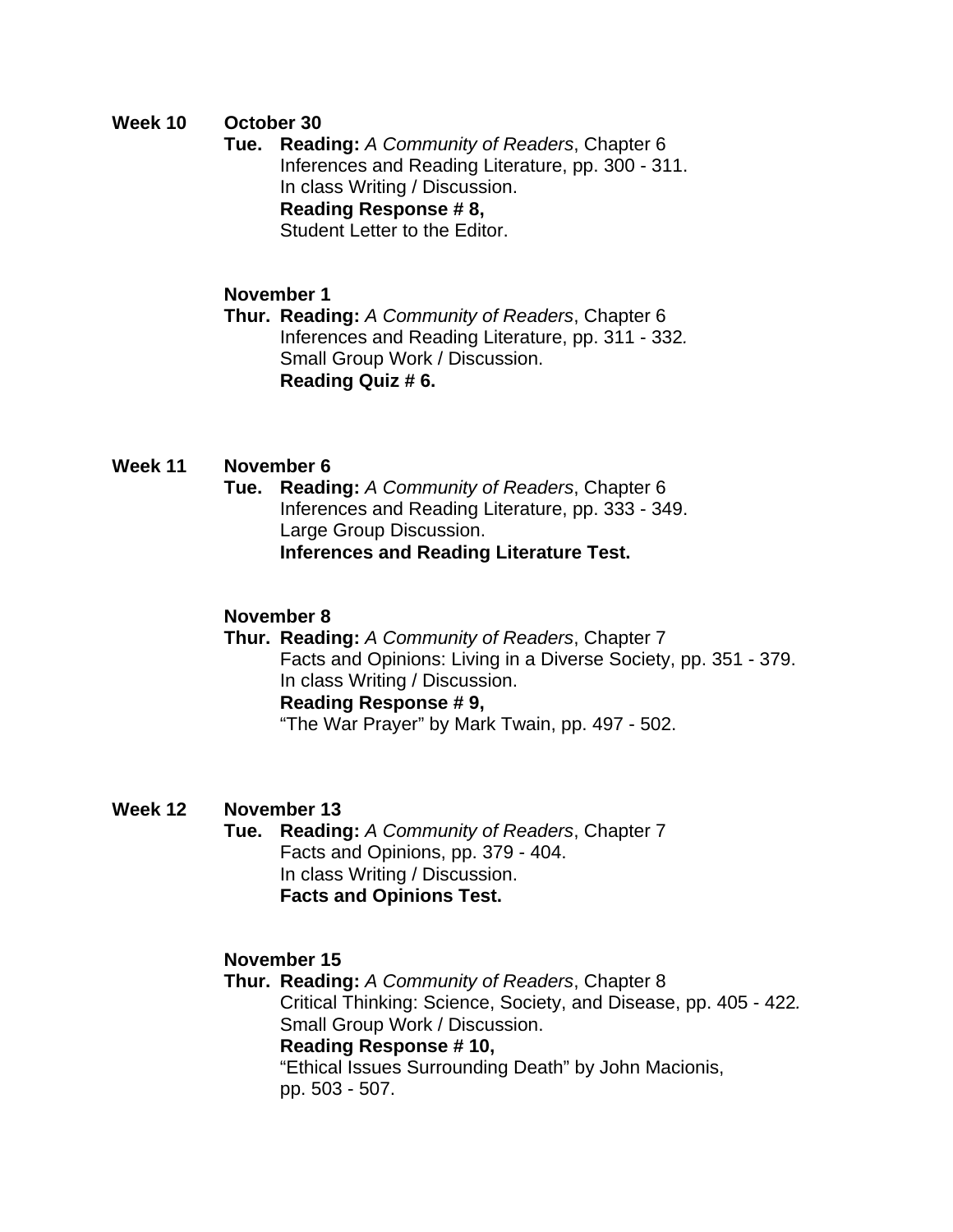# **Week 10 October 30**

 **Tue. Reading:** *A Community of Readers*, Chapter 6 Inferences and Reading Literature, pp. 300 - 311. In class Writing / Discussion. **Reading Response # 8,** Student Letter to the Editor.

# **November 1**

 **Thur. Reading:** *A Community of Readers*, Chapter 6 Inferences and Reading Literature, pp. 311 - 332*.*  Small Group Work / Discussion. **Reading Quiz # 6.** 

## **Week 11 November 6**

 **Tue. Reading:** *A Community of Readers*, Chapter 6 Inferences and Reading Literature, pp. 333 - 349. Large Group Discussion. **Inferences and Reading Literature Test.**

# **November 8**

 **Thur. Reading:** *A Community of Readers*, Chapter 7 Facts and Opinions: Living in a Diverse Society, pp. 351 - 379. In class Writing / Discussion.  **Reading Response # 9,** 

"The War Prayer" by Mark Twain, pp. 497 - 502.

## **Week 12 November 13**

 **Tue. Reading:** *A Community of Readers*, Chapter 7 Facts and Opinions, pp. 379 - 404. In class Writing / Discussion. **Facts and Opinions Test.** 

## **November 15**

 **Thur. Reading:** *A Community of Readers*, Chapter 8 Critical Thinking: Science, Society, and Disease, pp. 405 - 422*.*  **Small Group Work / Discussion. Reading Response # 10,**  "Ethical Issues Surrounding Death" by John Macionis, pp. 503 - 507.